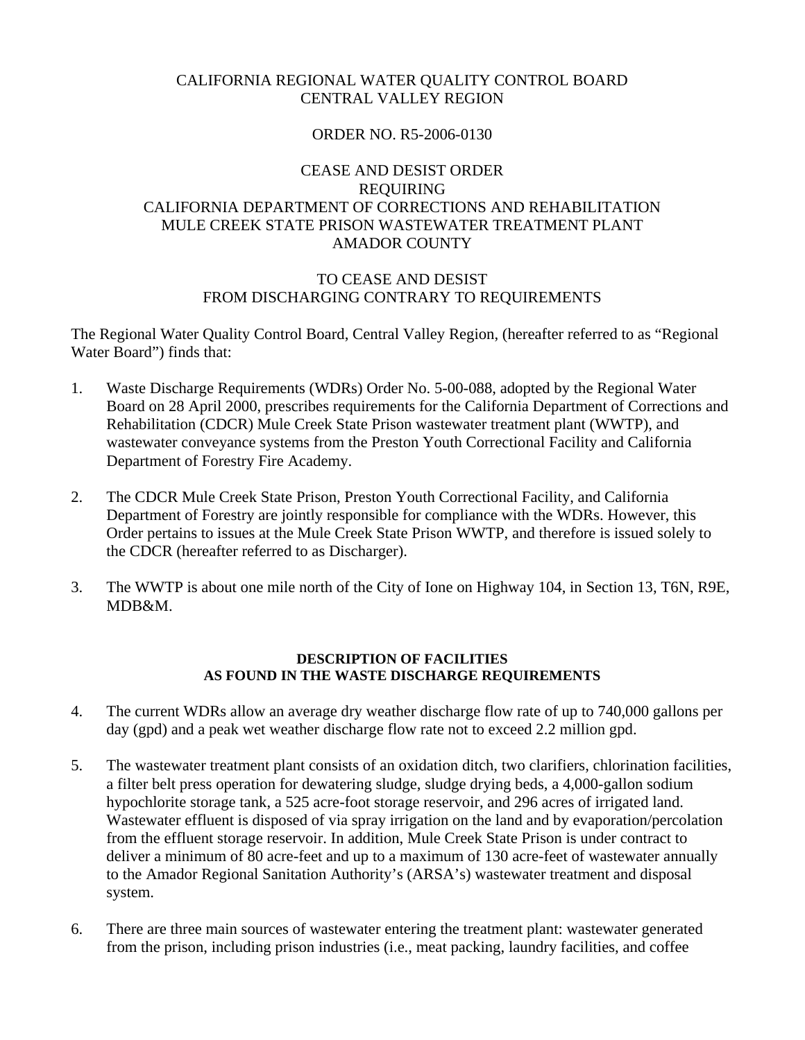# CALIFORNIA REGIONAL WATER QUALITY CONTROL BOARD CENTRAL VALLEY REGION

# ORDER NO. R5-2006-0130

# CEASE AND DESIST ORDER REQUIRING CALIFORNIA DEPARTMENT OF CORRECTIONS AND REHABILITATION MULE CREEK STATE PRISON WASTEWATER TREATMENT PLANT AMADOR COUNTY

#### TO CEASE AND DESIST FROM DISCHARGING CONTRARY TO REQUIREMENTS

The Regional Water Quality Control Board, Central Valley Region, (hereafter referred to as "Regional Water Board") finds that:

- 1. Waste Discharge Requirements (WDRs) Order No. 5-00-088, adopted by the Regional Water Board on 28 April 2000, prescribes requirements for the California Department of Corrections and Rehabilitation (CDCR) Mule Creek State Prison wastewater treatment plant (WWTP), and wastewater conveyance systems from the Preston Youth Correctional Facility and California Department of Forestry Fire Academy.
- 2. The CDCR Mule Creek State Prison, Preston Youth Correctional Facility, and California Department of Forestry are jointly responsible for compliance with the WDRs. However, this Order pertains to issues at the Mule Creek State Prison WWTP, and therefore is issued solely to the CDCR (hereafter referred to as Discharger).
- 3. The WWTP is about one mile north of the City of Ione on Highway 104, in Section 13, T6N, R9E, MDB&M.

#### **DESCRIPTION OF FACILITIES AS FOUND IN THE WASTE DISCHARGE REQUIREMENTS**

- 4. The current WDRs allow an average dry weather discharge flow rate of up to 740,000 gallons per day (gpd) and a peak wet weather discharge flow rate not to exceed 2.2 million gpd.
- 5. The wastewater treatment plant consists of an oxidation ditch, two clarifiers, chlorination facilities, a filter belt press operation for dewatering sludge, sludge drying beds, a 4,000-gallon sodium hypochlorite storage tank, a 525 acre-foot storage reservoir, and 296 acres of irrigated land. Wastewater effluent is disposed of via spray irrigation on the land and by evaporation/percolation from the effluent storage reservoir. In addition, Mule Creek State Prison is under contract to deliver a minimum of 80 acre-feet and up to a maximum of 130 acre-feet of wastewater annually to the Amador Regional Sanitation Authority's (ARSA's) wastewater treatment and disposal system.
- 6. There are three main sources of wastewater entering the treatment plant: wastewater generated from the prison, including prison industries (i.e., meat packing, laundry facilities, and coffee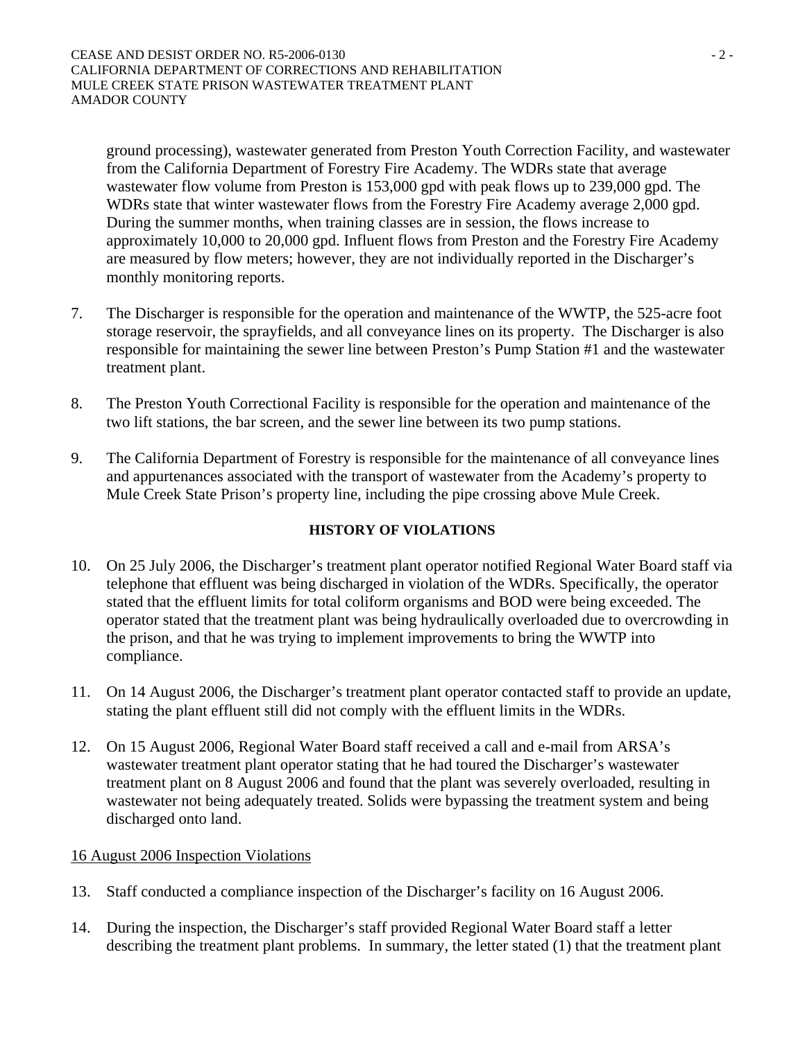ground processing), wastewater generated from Preston Youth Correction Facility, and wastewater from the California Department of Forestry Fire Academy. The WDRs state that average wastewater flow volume from Preston is 153,000 gpd with peak flows up to 239,000 gpd. The WDRs state that winter wastewater flows from the Forestry Fire Academy average 2,000 gpd. During the summer months, when training classes are in session, the flows increase to approximately 10,000 to 20,000 gpd. Influent flows from Preston and the Forestry Fire Academy are measured by flow meters; however, they are not individually reported in the Discharger's monthly monitoring reports.

- 7. The Discharger is responsible for the operation and maintenance of the WWTP, the 525-acre foot storage reservoir, the sprayfields, and all conveyance lines on its property. The Discharger is also responsible for maintaining the sewer line between Preston's Pump Station #1 and the wastewater treatment plant.
- 8. The Preston Youth Correctional Facility is responsible for the operation and maintenance of the two lift stations, the bar screen, and the sewer line between its two pump stations.
- 9. The California Department of Forestry is responsible for the maintenance of all conveyance lines and appurtenances associated with the transport of wastewater from the Academy's property to Mule Creek State Prison's property line, including the pipe crossing above Mule Creek.

### **HISTORY OF VIOLATIONS**

- 10. On 25 July 2006, the Discharger's treatment plant operator notified Regional Water Board staff via telephone that effluent was being discharged in violation of the WDRs. Specifically, the operator stated that the effluent limits for total coliform organisms and BOD were being exceeded. The operator stated that the treatment plant was being hydraulically overloaded due to overcrowding in the prison, and that he was trying to implement improvements to bring the WWTP into compliance.
- 11. On 14 August 2006, the Discharger's treatment plant operator contacted staff to provide an update, stating the plant effluent still did not comply with the effluent limits in the WDRs.
- 12. On 15 August 2006, Regional Water Board staff received a call and e-mail from ARSA's wastewater treatment plant operator stating that he had toured the Discharger's wastewater treatment plant on 8 August 2006 and found that the plant was severely overloaded, resulting in wastewater not being adequately treated. Solids were bypassing the treatment system and being discharged onto land.

### 16 August 2006 Inspection Violations

- 13. Staff conducted a compliance inspection of the Discharger's facility on 16 August 2006.
- 14. During the inspection, the Discharger's staff provided Regional Water Board staff a letter describing the treatment plant problems. In summary, the letter stated (1) that the treatment plant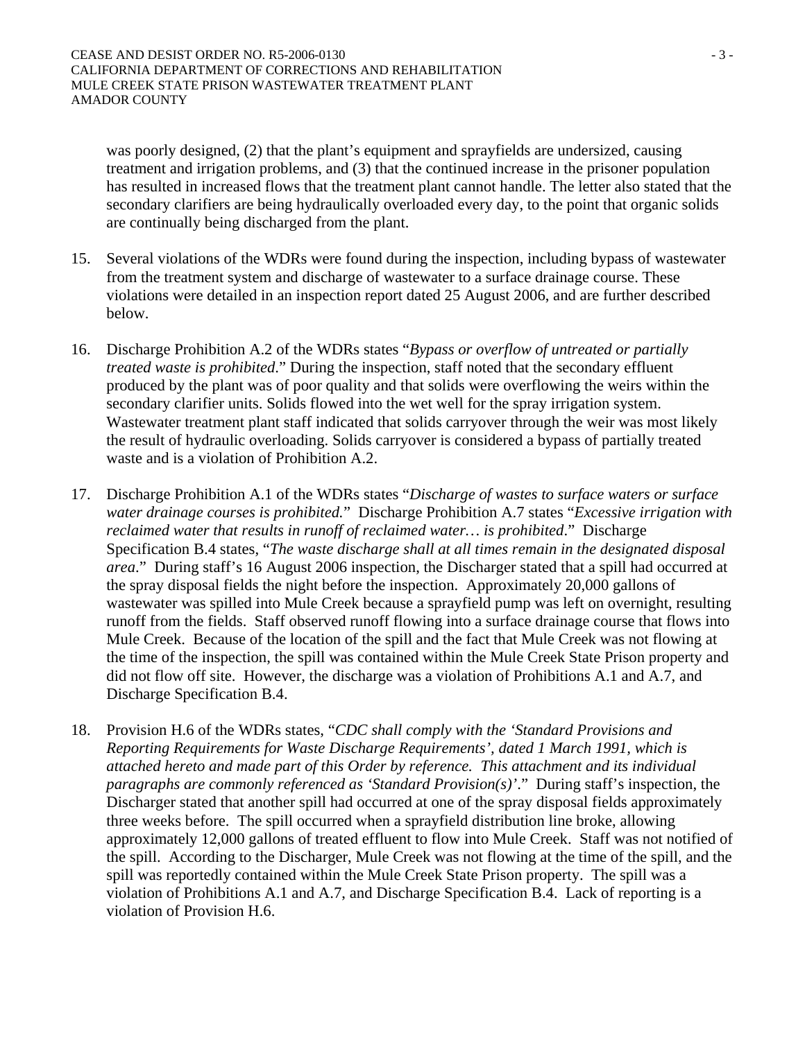was poorly designed, (2) that the plant's equipment and sprayfields are undersized, causing treatment and irrigation problems, and (3) that the continued increase in the prisoner population has resulted in increased flows that the treatment plant cannot handle. The letter also stated that the secondary clarifiers are being hydraulically overloaded every day, to the point that organic solids are continually being discharged from the plant.

- 15. Several violations of the WDRs were found during the inspection, including bypass of wastewater from the treatment system and discharge of wastewater to a surface drainage course. These violations were detailed in an inspection report dated 25 August 2006, and are further described below.
- 16. Discharge Prohibition A.2 of the WDRs states "*Bypass or overflow of untreated or partially treated waste is prohibited*." During the inspection, staff noted that the secondary effluent produced by the plant was of poor quality and that solids were overflowing the weirs within the secondary clarifier units. Solids flowed into the wet well for the spray irrigation system. Wastewater treatment plant staff indicated that solids carryover through the weir was most likely the result of hydraulic overloading. Solids carryover is considered a bypass of partially treated waste and is a violation of Prohibition A.2.
- 17. Discharge Prohibition A.1 of the WDRs states "*Discharge of wastes to surface waters or surface water drainage courses is prohibited.*" Discharge Prohibition A.7 states "*Excessive irrigation with reclaimed water that results in runoff of reclaimed water… is prohibited*." Discharge Specification B.4 states, "*The waste discharge shall at all times remain in the designated disposal area*." During staff's 16 August 2006 inspection, the Discharger stated that a spill had occurred at the spray disposal fields the night before the inspection. Approximately 20,000 gallons of wastewater was spilled into Mule Creek because a sprayfield pump was left on overnight, resulting runoff from the fields. Staff observed runoff flowing into a surface drainage course that flows into Mule Creek. Because of the location of the spill and the fact that Mule Creek was not flowing at the time of the inspection, the spill was contained within the Mule Creek State Prison property and did not flow off site. However, the discharge was a violation of Prohibitions A.1 and A.7, and Discharge Specification B.4.
- 18. Provision H.6 of the WDRs states, "*CDC shall comply with the 'Standard Provisions and Reporting Requirements for Waste Discharge Requirements', dated 1 March 1991, which is attached hereto and made part of this Order by reference. This attachment and its individual paragraphs are commonly referenced as 'Standard Provision(s)'*." During staff's inspection, the Discharger stated that another spill had occurred at one of the spray disposal fields approximately three weeks before. The spill occurred when a sprayfield distribution line broke, allowing approximately 12,000 gallons of treated effluent to flow into Mule Creek. Staff was not notified of the spill. According to the Discharger, Mule Creek was not flowing at the time of the spill, and the spill was reportedly contained within the Mule Creek State Prison property. The spill was a violation of Prohibitions A.1 and A.7, and Discharge Specification B.4. Lack of reporting is a violation of Provision H.6.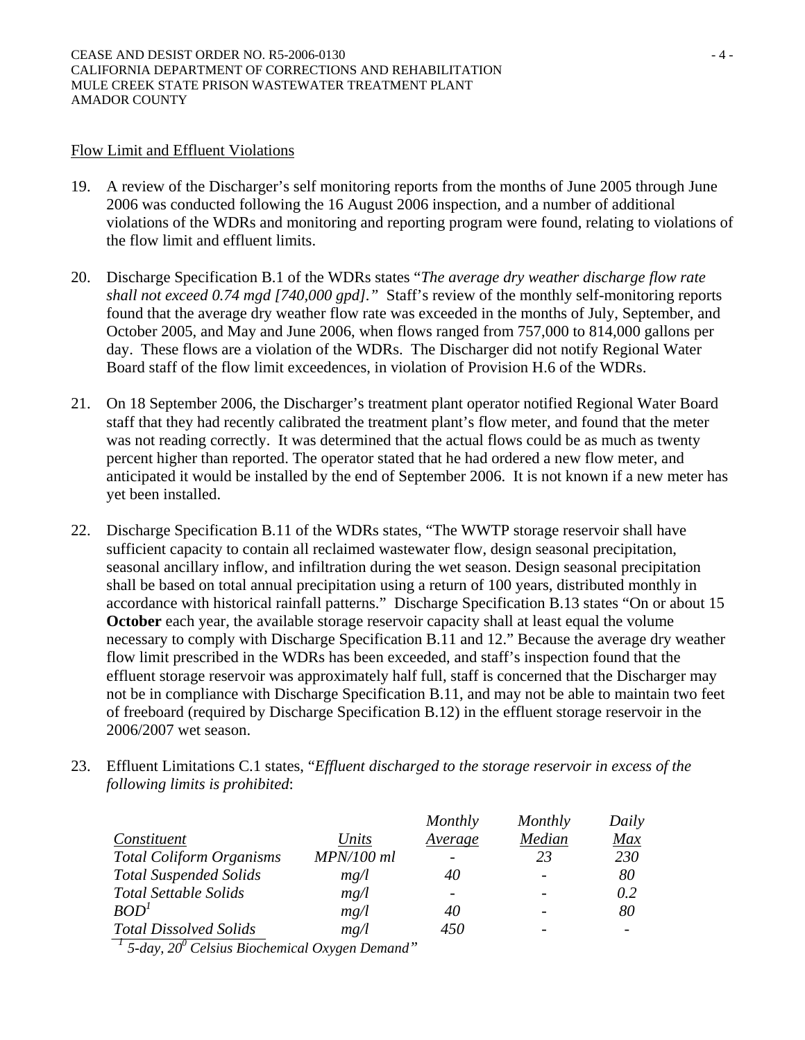#### Flow Limit and Effluent Violations

- 19. A review of the Discharger's self monitoring reports from the months of June 2005 through June 2006 was conducted following the 16 August 2006 inspection, and a number of additional violations of the WDRs and monitoring and reporting program were found, relating to violations of the flow limit and effluent limits.
- 20. Discharge Specification B.1 of the WDRs states "*The average dry weather discharge flow rate shall not exceed 0.74 mgd [740,000 gpd]."* Staff's review of the monthly self-monitoring reports found that the average dry weather flow rate was exceeded in the months of July, September, and October 2005, and May and June 2006, when flows ranged from 757,000 to 814,000 gallons per day. These flows are a violation of the WDRs. The Discharger did not notify Regional Water Board staff of the flow limit exceedences, in violation of Provision H.6 of the WDRs.
- 21. On 18 September 2006, the Discharger's treatment plant operator notified Regional Water Board staff that they had recently calibrated the treatment plant's flow meter, and found that the meter was not reading correctly. It was determined that the actual flows could be as much as twenty percent higher than reported. The operator stated that he had ordered a new flow meter, and anticipated it would be installed by the end of September 2006. It is not known if a new meter has yet been installed.
- 22. Discharge Specification B.11 of the WDRs states, "The WWTP storage reservoir shall have sufficient capacity to contain all reclaimed wastewater flow, design seasonal precipitation, seasonal ancillary inflow, and infiltration during the wet season. Design seasonal precipitation shall be based on total annual precipitation using a return of 100 years, distributed monthly in accordance with historical rainfall patterns." Discharge Specification B.13 states "On or about 15 **October** each year, the available storage reservoir capacity shall at least equal the volume necessary to comply with Discharge Specification B.11 and 12." Because the average dry weather flow limit prescribed in the WDRs has been exceeded, and staff's inspection found that the effluent storage reservoir was approximately half full, staff is concerned that the Discharger may not be in compliance with Discharge Specification B.11, and may not be able to maintain two feet of freeboard (required by Discharge Specification B.12) in the effluent storage reservoir in the 2006/2007 wet season.
- 23. Effluent Limitations C.1 states, "*Effluent discharged to the storage reservoir in excess of the following limits is prohibited*:

|                                 |            | Monthly | Monthly | Daily |
|---------------------------------|------------|---------|---------|-------|
| Constituent                     | Units      | Average | Median  | Max   |
| <b>Total Coliform Organisms</b> | MPN/100 ml |         | 23      | 230   |
| <b>Total Suspended Solids</b>   | mg/l       | 40      |         | 80    |
| <b>Total Settable Solids</b>    | mg/l       |         |         | 0.2   |
| BOD <sup>1</sup>                | mg/l       | 40      |         | 80    |
| <b>Total Dissolved Solids</b>   | mg/l       | 450     |         |       |

 *<sup>1</sup> 5-day, 200 Celsius Biochemical Oxygen Demand"*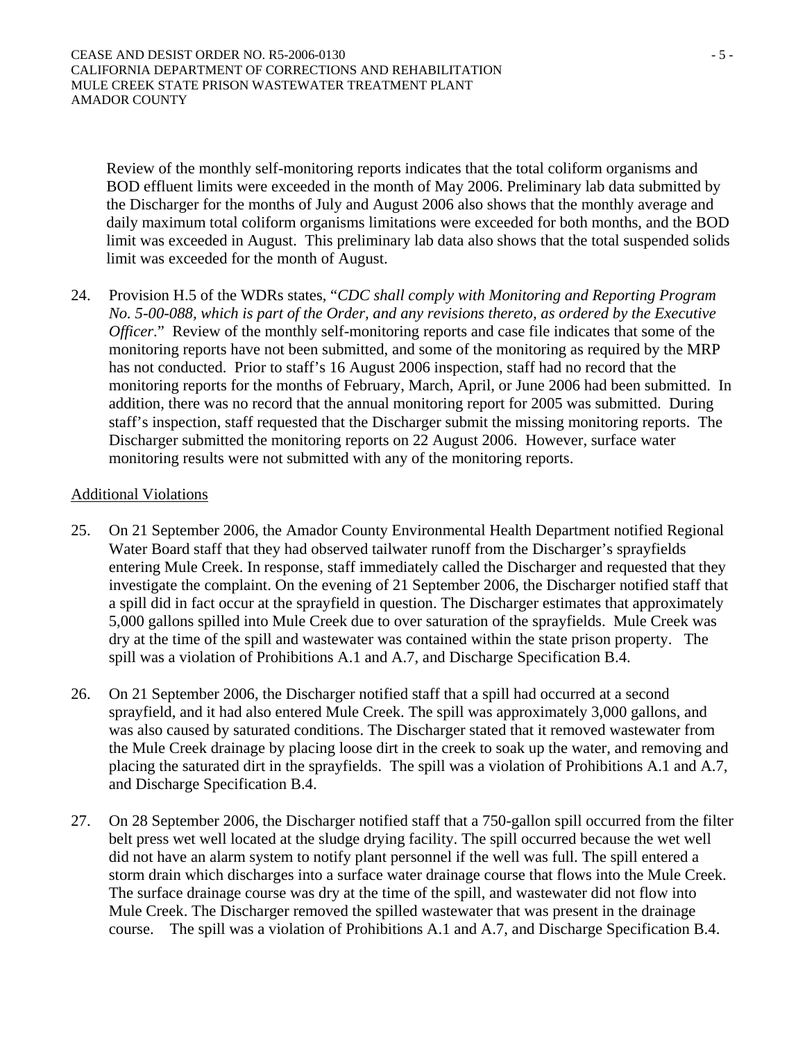Review of the monthly self-monitoring reports indicates that the total coliform organisms and BOD effluent limits were exceeded in the month of May 2006. Preliminary lab data submitted by the Discharger for the months of July and August 2006 also shows that the monthly average and daily maximum total coliform organisms limitations were exceeded for both months, and the BOD limit was exceeded in August. This preliminary lab data also shows that the total suspended solids limit was exceeded for the month of August.

24. Provision H.5 of the WDRs states, "*CDC shall comply with Monitoring and Reporting Program No. 5-00-088, which is part of the Order, and any revisions thereto, as ordered by the Executive Officer*." Review of the monthly self-monitoring reports and case file indicates that some of the monitoring reports have not been submitted, and some of the monitoring as required by the MRP has not conducted. Prior to staff's 16 August 2006 inspection, staff had no record that the monitoring reports for the months of February, March, April, or June 2006 had been submitted. In addition, there was no record that the annual monitoring report for 2005 was submitted. During staff's inspection, staff requested that the Discharger submit the missing monitoring reports. The Discharger submitted the monitoring reports on 22 August 2006. However, surface water monitoring results were not submitted with any of the monitoring reports.

#### Additional Violations

- 25. On 21 September 2006, the Amador County Environmental Health Department notified Regional Water Board staff that they had observed tailwater runoff from the Discharger's sprayfields entering Mule Creek. In response, staff immediately called the Discharger and requested that they investigate the complaint. On the evening of 21 September 2006, the Discharger notified staff that a spill did in fact occur at the sprayfield in question. The Discharger estimates that approximately 5,000 gallons spilled into Mule Creek due to over saturation of the sprayfields. Mule Creek was dry at the time of the spill and wastewater was contained within the state prison property. The spill was a violation of Prohibitions A.1 and A.7, and Discharge Specification B.4.
- 26. On 21 September 2006, the Discharger notified staff that a spill had occurred at a second sprayfield, and it had also entered Mule Creek. The spill was approximately 3,000 gallons, and was also caused by saturated conditions. The Discharger stated that it removed wastewater from the Mule Creek drainage by placing loose dirt in the creek to soak up the water, and removing and placing the saturated dirt in the sprayfields. The spill was a violation of Prohibitions A.1 and A.7, and Discharge Specification B.4.
- 27. On 28 September 2006, the Discharger notified staff that a 750-gallon spill occurred from the filter belt press wet well located at the sludge drying facility. The spill occurred because the wet well did not have an alarm system to notify plant personnel if the well was full. The spill entered a storm drain which discharges into a surface water drainage course that flows into the Mule Creek. The surface drainage course was dry at the time of the spill, and wastewater did not flow into Mule Creek. The Discharger removed the spilled wastewater that was present in the drainage course. The spill was a violation of Prohibitions A.1 and A.7, and Discharge Specification B.4.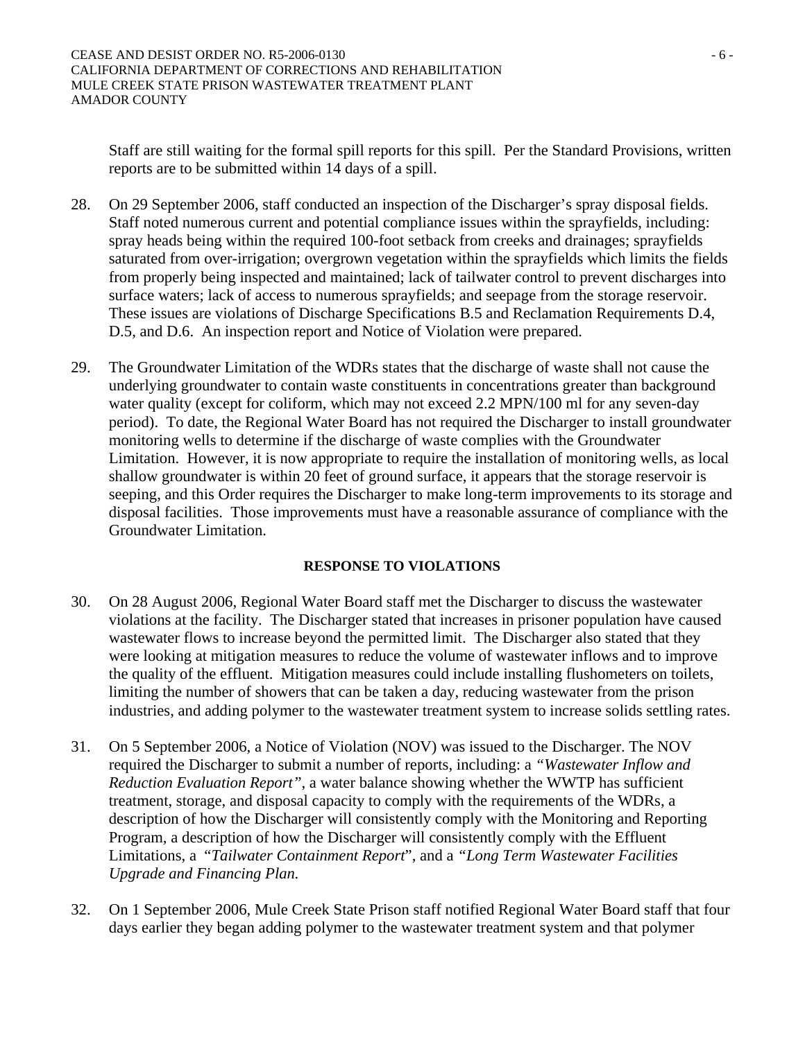Staff are still waiting for the formal spill reports for this spill. Per the Standard Provisions, written reports are to be submitted within 14 days of a spill.

- 28. On 29 September 2006, staff conducted an inspection of the Discharger's spray disposal fields. Staff noted numerous current and potential compliance issues within the sprayfields, including: spray heads being within the required 100-foot setback from creeks and drainages; sprayfields saturated from over-irrigation; overgrown vegetation within the sprayfields which limits the fields from properly being inspected and maintained; lack of tailwater control to prevent discharges into surface waters; lack of access to numerous sprayfields; and seepage from the storage reservoir. These issues are violations of Discharge Specifications B.5 and Reclamation Requirements D.4, D.5, and D.6. An inspection report and Notice of Violation were prepared.
- 29. The Groundwater Limitation of the WDRs states that the discharge of waste shall not cause the underlying groundwater to contain waste constituents in concentrations greater than background water quality (except for coliform, which may not exceed 2.2 MPN/100 ml for any seven-day period). To date, the Regional Water Board has not required the Discharger to install groundwater monitoring wells to determine if the discharge of waste complies with the Groundwater Limitation. However, it is now appropriate to require the installation of monitoring wells, as local shallow groundwater is within 20 feet of ground surface, it appears that the storage reservoir is seeping, and this Order requires the Discharger to make long-term improvements to its storage and disposal facilities. Those improvements must have a reasonable assurance of compliance with the Groundwater Limitation.

### **RESPONSE TO VIOLATIONS**

- 30. On 28 August 2006, Regional Water Board staff met the Discharger to discuss the wastewater violations at the facility. The Discharger stated that increases in prisoner population have caused wastewater flows to increase beyond the permitted limit. The Discharger also stated that they were looking at mitigation measures to reduce the volume of wastewater inflows and to improve the quality of the effluent. Mitigation measures could include installing flushometers on toilets, limiting the number of showers that can be taken a day, reducing wastewater from the prison industries, and adding polymer to the wastewater treatment system to increase solids settling rates.
- 31. On 5 September 2006, a Notice of Violation (NOV) was issued to the Discharger. The NOV required the Discharger to submit a number of reports, including: a *"Wastewater Inflow and Reduction Evaluation Report"*, a water balance showing whether the WWTP has sufficient treatment, storage, and disposal capacity to comply with the requirements of the WDRs, a description of how the Discharger will consistently comply with the Monitoring and Reporting Program, a description of how the Discharger will consistently comply with the Effluent Limitations, a "*Tailwater Containment Report*", and a *"Long Term Wastewater Facilities Upgrade and Financing Plan.*
- 32. On 1 September 2006, Mule Creek State Prison staff notified Regional Water Board staff that four days earlier they began adding polymer to the wastewater treatment system and that polymer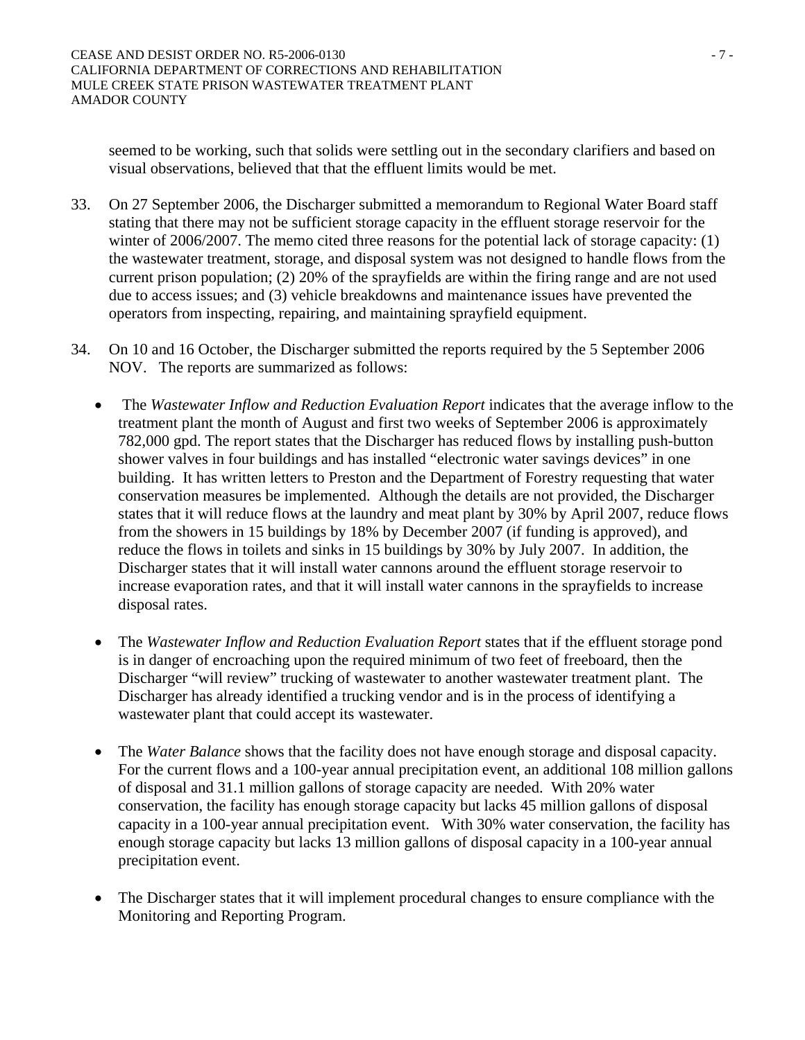seemed to be working, such that solids were settling out in the secondary clarifiers and based on visual observations, believed that that the effluent limits would be met.

- 33. On 27 September 2006, the Discharger submitted a memorandum to Regional Water Board staff stating that there may not be sufficient storage capacity in the effluent storage reservoir for the winter of 2006/2007. The memo cited three reasons for the potential lack of storage capacity: (1) the wastewater treatment, storage, and disposal system was not designed to handle flows from the current prison population; (2) 20% of the sprayfields are within the firing range and are not used due to access issues; and (3) vehicle breakdowns and maintenance issues have prevented the operators from inspecting, repairing, and maintaining sprayfield equipment.
- 34. On 10 and 16 October, the Discharger submitted the reports required by the 5 September 2006 NOV. The reports are summarized as follows:
	- The *Wastewater Inflow and Reduction Evaluation Report* indicates that the average inflow to the treatment plant the month of August and first two weeks of September 2006 is approximately 782,000 gpd. The report states that the Discharger has reduced flows by installing push-button shower valves in four buildings and has installed "electronic water savings devices" in one building. It has written letters to Preston and the Department of Forestry requesting that water conservation measures be implemented. Although the details are not provided, the Discharger states that it will reduce flows at the laundry and meat plant by 30% by April 2007, reduce flows from the showers in 15 buildings by 18% by December 2007 (if funding is approved), and reduce the flows in toilets and sinks in 15 buildings by 30% by July 2007. In addition, the Discharger states that it will install water cannons around the effluent storage reservoir to increase evaporation rates, and that it will install water cannons in the sprayfields to increase disposal rates.
	- The *Wastewater Inflow and Reduction Evaluation Report* states that if the effluent storage pond is in danger of encroaching upon the required minimum of two feet of freeboard, then the Discharger "will review" trucking of wastewater to another wastewater treatment plant. The Discharger has already identified a trucking vendor and is in the process of identifying a wastewater plant that could accept its wastewater.
	- The *Water Balance* shows that the facility does not have enough storage and disposal capacity. For the current flows and a 100-year annual precipitation event, an additional 108 million gallons of disposal and 31.1 million gallons of storage capacity are needed. With 20% water conservation, the facility has enough storage capacity but lacks 45 million gallons of disposal capacity in a 100-year annual precipitation event. With 30% water conservation, the facility has enough storage capacity but lacks 13 million gallons of disposal capacity in a 100-year annual precipitation event.
	- The Discharger states that it will implement procedural changes to ensure compliance with the Monitoring and Reporting Program.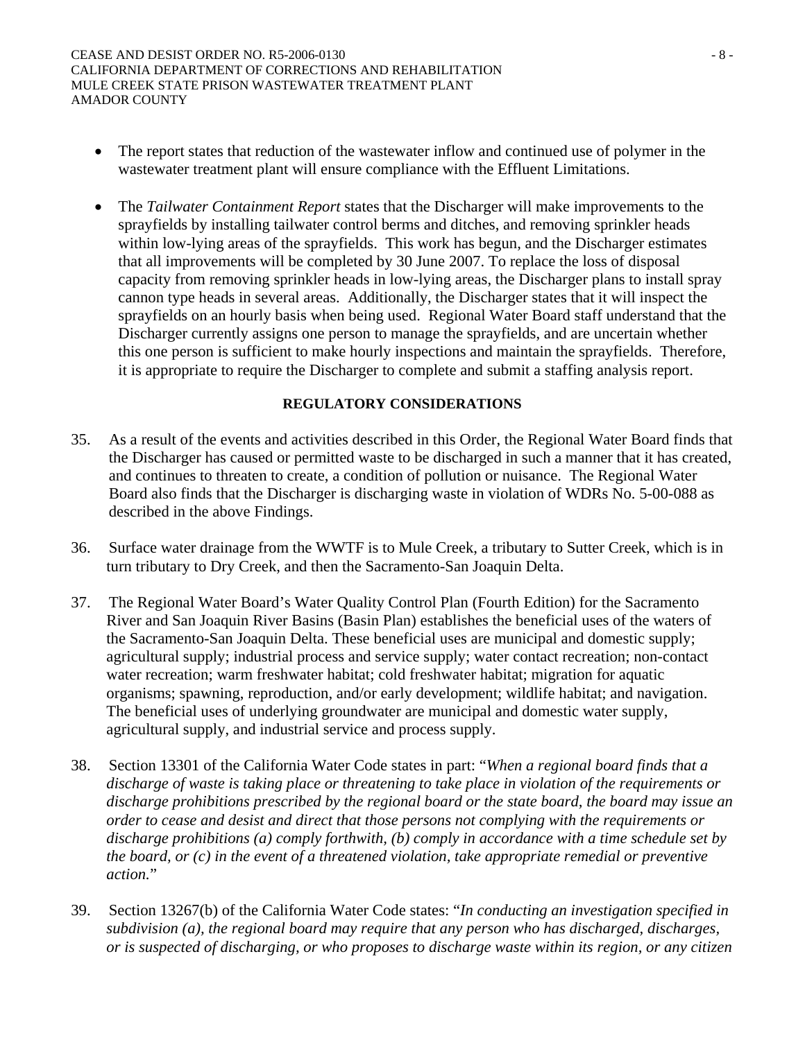- The report states that reduction of the wastewater inflow and continued use of polymer in the wastewater treatment plant will ensure compliance with the Effluent Limitations.
- The *Tailwater Containment Report* states that the Discharger will make improvements to the sprayfields by installing tailwater control berms and ditches, and removing sprinkler heads within low-lying areas of the sprayfields. This work has begun, and the Discharger estimates that all improvements will be completed by 30 June 2007. To replace the loss of disposal capacity from removing sprinkler heads in low-lying areas, the Discharger plans to install spray cannon type heads in several areas. Additionally, the Discharger states that it will inspect the sprayfields on an hourly basis when being used. Regional Water Board staff understand that the Discharger currently assigns one person to manage the sprayfields, and are uncertain whether this one person is sufficient to make hourly inspections and maintain the sprayfields. Therefore, it is appropriate to require the Discharger to complete and submit a staffing analysis report.

#### **REGULATORY CONSIDERATIONS**

- 35. As a result of the events and activities described in this Order, the Regional Water Board finds that the Discharger has caused or permitted waste to be discharged in such a manner that it has created, and continues to threaten to create, a condition of pollution or nuisance. The Regional Water Board also finds that the Discharger is discharging waste in violation of WDRs No. 5-00-088 as described in the above Findings.
- 36. Surface water drainage from the WWTF is to Mule Creek, a tributary to Sutter Creek, which is in turn tributary to Dry Creek, and then the Sacramento-San Joaquin Delta.
- 37. The Regional Water Board's Water Quality Control Plan (Fourth Edition) for the Sacramento River and San Joaquin River Basins (Basin Plan) establishes the beneficial uses of the waters of the Sacramento-San Joaquin Delta. These beneficial uses are municipal and domestic supply; agricultural supply; industrial process and service supply; water contact recreation; non-contact water recreation; warm freshwater habitat; cold freshwater habitat; migration for aquatic organisms; spawning, reproduction, and/or early development; wildlife habitat; and navigation. The beneficial uses of underlying groundwater are municipal and domestic water supply, agricultural supply, and industrial service and process supply.
- 38. Section 13301 of the California Water Code states in part: "*When a regional board finds that a discharge of waste is taking place or threatening to take place in violation of the requirements or discharge prohibitions prescribed by the regional board or the state board, the board may issue an order to cease and desist and direct that those persons not complying with the requirements or discharge prohibitions (a) comply forthwith, (b) comply in accordance with a time schedule set by the board, or (c) in the event of a threatened violation, take appropriate remedial or preventive action.*"
- 39. Section 13267(b) of the California Water Code states: "*In conducting an investigation specified in subdivision (a), the regional board may require that any person who has discharged, discharges, or is suspected of discharging, or who proposes to discharge waste within its region, or any citizen*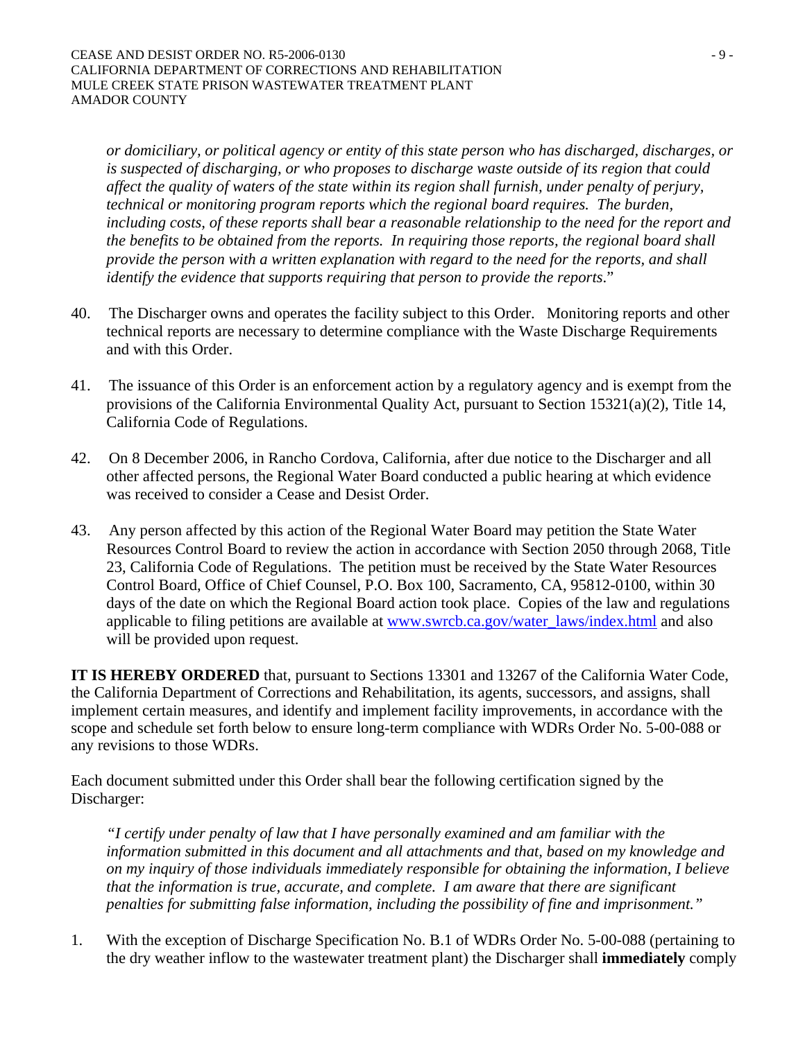*or domiciliary, or political agency or entity of this state person who has discharged, discharges, or is suspected of discharging, or who proposes to discharge waste outside of its region that could affect the quality of waters of the state within its region shall furnish, under penalty of perjury, technical or monitoring program reports which the regional board requires. The burden, including costs, of these reports shall bear a reasonable relationship to the need for the report and the benefits to be obtained from the reports. In requiring those reports, the regional board shall provide the person with a written explanation with regard to the need for the reports, and shall identify the evidence that supports requiring that person to provide the reports*."

- 40. The Discharger owns and operates the facility subject to this Order. Monitoring reports and other technical reports are necessary to determine compliance with the Waste Discharge Requirements and with this Order.
- 41. The issuance of this Order is an enforcement action by a regulatory agency and is exempt from the provisions of the California Environmental Quality Act, pursuant to Section 15321(a)(2), Title 14, California Code of Regulations.
- 42. On 8 December 2006, in Rancho Cordova, California, after due notice to the Discharger and all other affected persons, the Regional Water Board conducted a public hearing at which evidence was received to consider a Cease and Desist Order.
- 43. Any person affected by this action of the Regional Water Board may petition the State Water Resources Control Board to review the action in accordance with Section 2050 through 2068, Title 23, California Code of Regulations. The petition must be received by the State Water Resources Control Board, Office of Chief Counsel, P.O. Box 100, Sacramento, CA, 95812-0100, within 30 days of the date on which the Regional Board action took place. Copies of the law and regulations applicable to filing petitions are available at www.swrcb.ca.gov/water\_laws/index.html and also will be provided upon request.

**IT IS HEREBY ORDERED** that, pursuant to Sections 13301 and 13267 of the California Water Code, the California Department of Corrections and Rehabilitation, its agents, successors, and assigns, shall implement certain measures, and identify and implement facility improvements, in accordance with the scope and schedule set forth below to ensure long-term compliance with WDRs Order No. 5-00-088 or any revisions to those WDRs.

Each document submitted under this Order shall bear the following certification signed by the Discharger:

*"I certify under penalty of law that I have personally examined and am familiar with the information submitted in this document and all attachments and that, based on my knowledge and on my inquiry of those individuals immediately responsible for obtaining the information, I believe that the information is true, accurate, and complete. I am aware that there are significant penalties for submitting false information, including the possibility of fine and imprisonment."* 

1. With the exception of Discharge Specification No. B.1 of WDRs Order No. 5-00-088 (pertaining to the dry weather inflow to the wastewater treatment plant) the Discharger shall **immediately** comply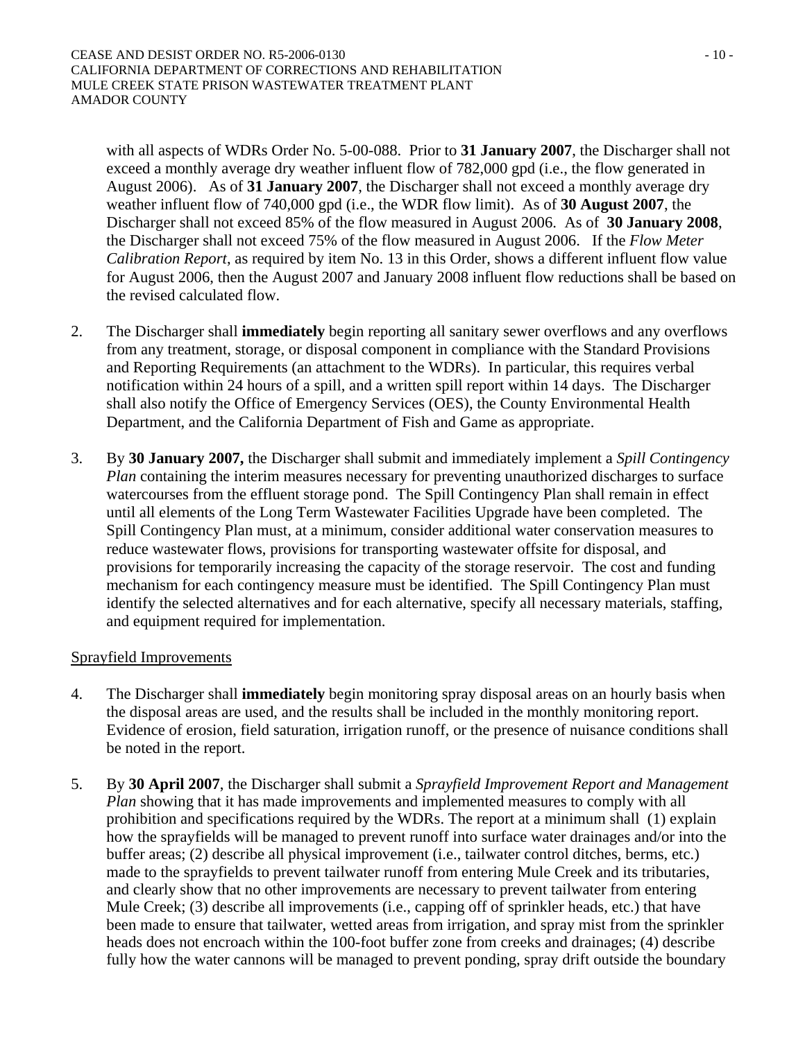with all aspects of WDRs Order No. 5-00-088. Prior to **31 January 2007**, the Discharger shall not exceed a monthly average dry weather influent flow of 782,000 gpd (i.e., the flow generated in August 2006). As of **31 January 2007**, the Discharger shall not exceed a monthly average dry weather influent flow of 740,000 gpd (i.e., the WDR flow limit). As of **30 August 2007**, the Discharger shall not exceed 85% of the flow measured in August 2006. As of **30 January 2008**, the Discharger shall not exceed 75% of the flow measured in August 2006. If the *Flow Meter Calibration Report*, as required by item No. 13 in this Order, shows a different influent flow value for August 2006, then the August 2007 and January 2008 influent flow reductions shall be based on the revised calculated flow.

- 2. The Discharger shall **immediately** begin reporting all sanitary sewer overflows and any overflows from any treatment, storage, or disposal component in compliance with the Standard Provisions and Reporting Requirements (an attachment to the WDRs). In particular, this requires verbal notification within 24 hours of a spill, and a written spill report within 14 days. The Discharger shall also notify the Office of Emergency Services (OES), the County Environmental Health Department, and the California Department of Fish and Game as appropriate.
- 3. By **30 January 2007,** the Discharger shall submit and immediately implement a *Spill Contingency Plan* containing the interim measures necessary for preventing unauthorized discharges to surface watercourses from the effluent storage pond. The Spill Contingency Plan shall remain in effect until all elements of the Long Term Wastewater Facilities Upgrade have been completed. The Spill Contingency Plan must, at a minimum, consider additional water conservation measures to reduce wastewater flows, provisions for transporting wastewater offsite for disposal, and provisions for temporarily increasing the capacity of the storage reservoir. The cost and funding mechanism for each contingency measure must be identified. The Spill Contingency Plan must identify the selected alternatives and for each alternative, specify all necessary materials, staffing, and equipment required for implementation.

### Sprayfield Improvements

- 4. The Discharger shall **immediately** begin monitoring spray disposal areas on an hourly basis when the disposal areas are used, and the results shall be included in the monthly monitoring report. Evidence of erosion, field saturation, irrigation runoff, or the presence of nuisance conditions shall be noted in the report.
- 5. By **30 April 2007**, the Discharger shall submit a *Sprayfield Improvement Report and Management Plan* showing that it has made improvements and implemented measures to comply with all prohibition and specifications required by the WDRs. The report at a minimum shall (1) explain how the sprayfields will be managed to prevent runoff into surface water drainages and/or into the buffer areas; (2) describe all physical improvement (i.e., tailwater control ditches, berms, etc.) made to the sprayfields to prevent tailwater runoff from entering Mule Creek and its tributaries, and clearly show that no other improvements are necessary to prevent tailwater from entering Mule Creek; (3) describe all improvements (i.e., capping off of sprinkler heads, etc.) that have been made to ensure that tailwater, wetted areas from irrigation, and spray mist from the sprinkler heads does not encroach within the 100-foot buffer zone from creeks and drainages; (4) describe fully how the water cannons will be managed to prevent ponding, spray drift outside the boundary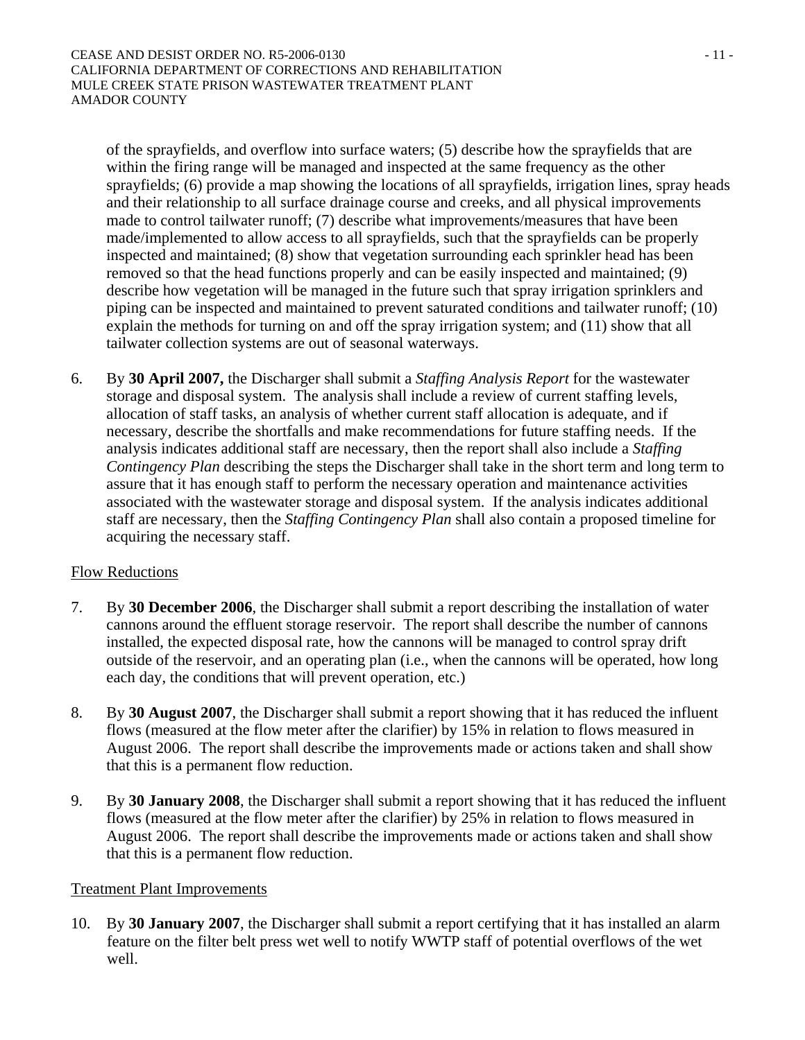of the sprayfields, and overflow into surface waters; (5) describe how the sprayfields that are within the firing range will be managed and inspected at the same frequency as the other sprayfields; (6) provide a map showing the locations of all sprayfields, irrigation lines, spray heads and their relationship to all surface drainage course and creeks, and all physical improvements made to control tailwater runoff; (7) describe what improvements/measures that have been made/implemented to allow access to all sprayfields, such that the sprayfields can be properly inspected and maintained; (8) show that vegetation surrounding each sprinkler head has been removed so that the head functions properly and can be easily inspected and maintained; (9) describe how vegetation will be managed in the future such that spray irrigation sprinklers and piping can be inspected and maintained to prevent saturated conditions and tailwater runoff; (10) explain the methods for turning on and off the spray irrigation system; and (11) show that all tailwater collection systems are out of seasonal waterways.

6. By **30 April 2007,** the Discharger shall submit a *Staffing Analysis Report* for the wastewater storage and disposal system. The analysis shall include a review of current staffing levels, allocation of staff tasks, an analysis of whether current staff allocation is adequate, and if necessary, describe the shortfalls and make recommendations for future staffing needs. If the analysis indicates additional staff are necessary, then the report shall also include a *Staffing Contingency Plan* describing the steps the Discharger shall take in the short term and long term to assure that it has enough staff to perform the necessary operation and maintenance activities associated with the wastewater storage and disposal system. If the analysis indicates additional staff are necessary, then the *Staffing Contingency Plan* shall also contain a proposed timeline for acquiring the necessary staff.

# Flow Reductions

- 7. By **30 December 2006**, the Discharger shall submit a report describing the installation of water cannons around the effluent storage reservoir. The report shall describe the number of cannons installed, the expected disposal rate, how the cannons will be managed to control spray drift outside of the reservoir, and an operating plan (i.e., when the cannons will be operated, how long each day, the conditions that will prevent operation, etc.)
- 8. By **30 August 2007**, the Discharger shall submit a report showing that it has reduced the influent flows (measured at the flow meter after the clarifier) by 15% in relation to flows measured in August 2006. The report shall describe the improvements made or actions taken and shall show that this is a permanent flow reduction.
- 9. By **30 January 2008**, the Discharger shall submit a report showing that it has reduced the influent flows (measured at the flow meter after the clarifier) by 25% in relation to flows measured in August 2006. The report shall describe the improvements made or actions taken and shall show that this is a permanent flow reduction.

### Treatment Plant Improvements

10. By **30 January 2007**, the Discharger shall submit a report certifying that it has installed an alarm feature on the filter belt press wet well to notify WWTP staff of potential overflows of the wet well.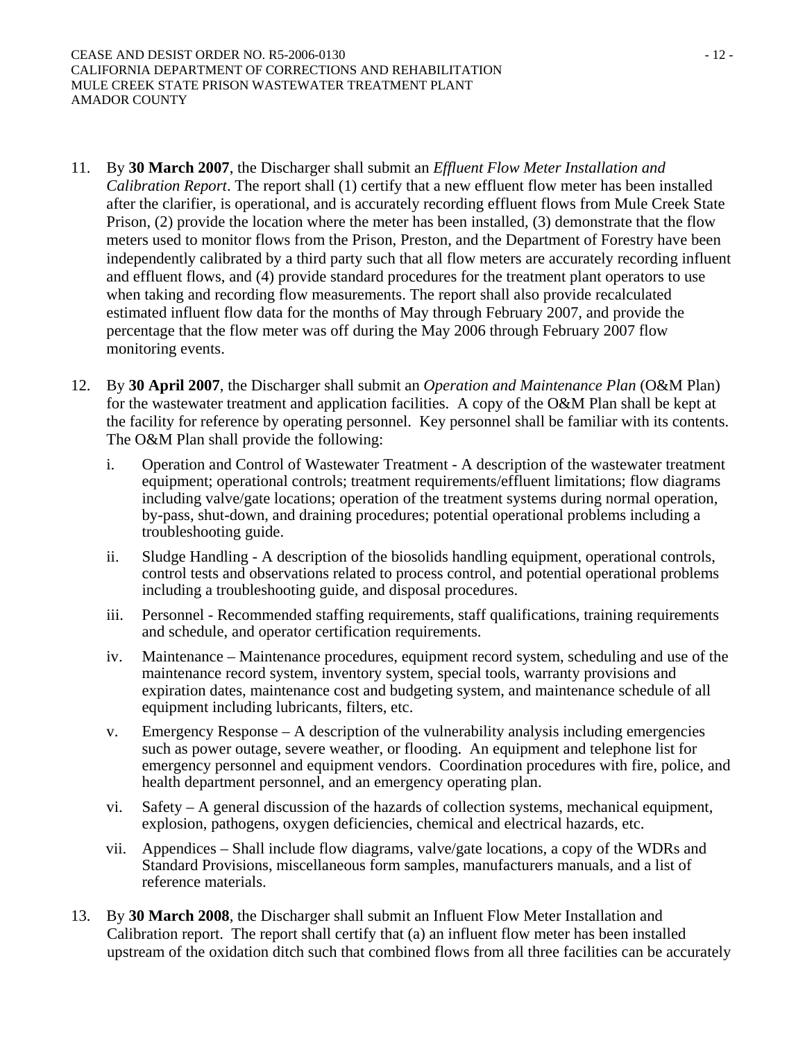- 11. By **30 March 2007**, the Discharger shall submit an *Effluent Flow Meter Installation and Calibration Report*. The report shall (1) certify that a new effluent flow meter has been installed after the clarifier, is operational, and is accurately recording effluent flows from Mule Creek State Prison, (2) provide the location where the meter has been installed, (3) demonstrate that the flow meters used to monitor flows from the Prison, Preston, and the Department of Forestry have been independently calibrated by a third party such that all flow meters are accurately recording influent and effluent flows, and (4) provide standard procedures for the treatment plant operators to use when taking and recording flow measurements. The report shall also provide recalculated estimated influent flow data for the months of May through February 2007, and provide the percentage that the flow meter was off during the May 2006 through February 2007 flow monitoring events.
- 12. By **30 April 2007**, the Discharger shall submit an *Operation and Maintenance Plan* (O&M Plan) for the wastewater treatment and application facilities. A copy of the O&M Plan shall be kept at the facility for reference by operating personnel. Key personnel shall be familiar with its contents. The O&M Plan shall provide the following:
	- i. Operation and Control of Wastewater Treatment A description of the wastewater treatment equipment; operational controls; treatment requirements/effluent limitations; flow diagrams including valve/gate locations; operation of the treatment systems during normal operation, by-pass, shut-down, and draining procedures; potential operational problems including a troubleshooting guide.
	- ii. Sludge Handling A description of the biosolids handling equipment, operational controls, control tests and observations related to process control, and potential operational problems including a troubleshooting guide, and disposal procedures.
	- iii. Personnel Recommended staffing requirements, staff qualifications, training requirements and schedule, and operator certification requirements.
	- iv. Maintenance Maintenance procedures, equipment record system, scheduling and use of the maintenance record system, inventory system, special tools, warranty provisions and expiration dates, maintenance cost and budgeting system, and maintenance schedule of all equipment including lubricants, filters, etc.
	- v. Emergency Response A description of the vulnerability analysis including emergencies such as power outage, severe weather, or flooding. An equipment and telephone list for emergency personnel and equipment vendors. Coordination procedures with fire, police, and health department personnel, and an emergency operating plan.
	- vi. Safety A general discussion of the hazards of collection systems, mechanical equipment, explosion, pathogens, oxygen deficiencies, chemical and electrical hazards, etc.
	- vii. Appendices Shall include flow diagrams, valve/gate locations, a copy of the WDRs and Standard Provisions, miscellaneous form samples, manufacturers manuals, and a list of reference materials.
- 13. By **30 March 2008**, the Discharger shall submit an Influent Flow Meter Installation and Calibration report. The report shall certify that (a) an influent flow meter has been installed upstream of the oxidation ditch such that combined flows from all three facilities can be accurately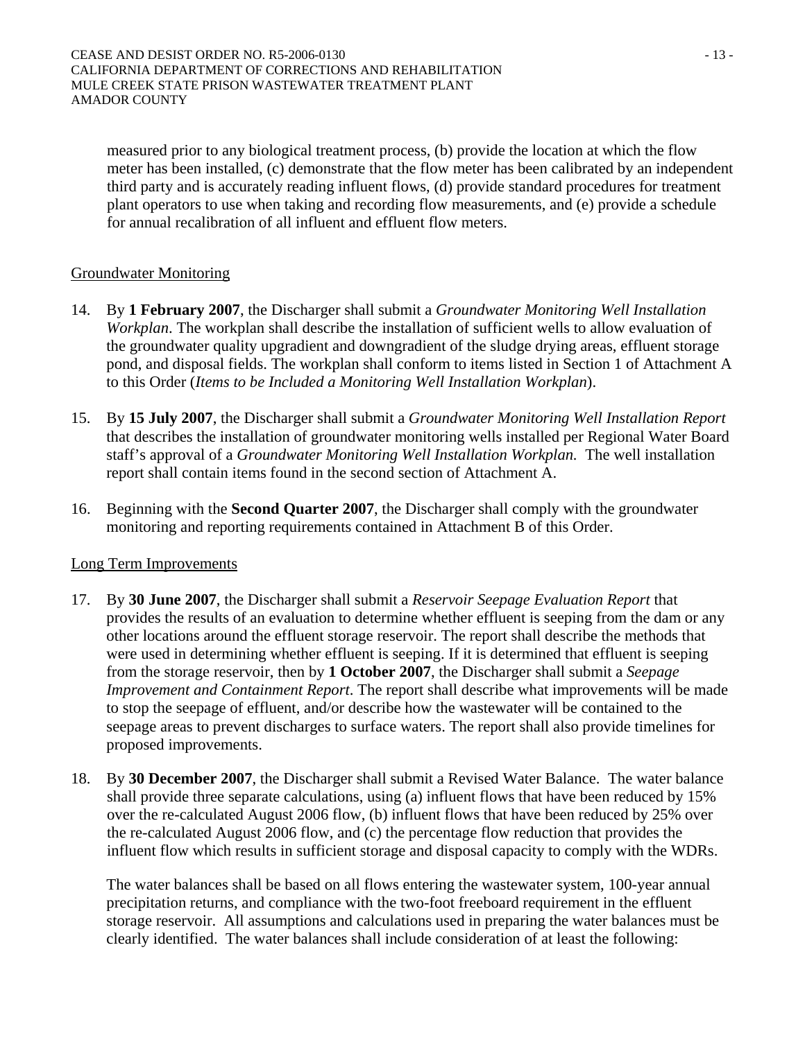measured prior to any biological treatment process, (b) provide the location at which the flow meter has been installed, (c) demonstrate that the flow meter has been calibrated by an independent third party and is accurately reading influent flows, (d) provide standard procedures for treatment plant operators to use when taking and recording flow measurements, and (e) provide a schedule for annual recalibration of all influent and effluent flow meters.

# Groundwater Monitoring

- 14. By **1 February 2007**, the Discharger shall submit a *Groundwater Monitoring Well Installation Workplan*. The workplan shall describe the installation of sufficient wells to allow evaluation of the groundwater quality upgradient and downgradient of the sludge drying areas, effluent storage pond, and disposal fields. The workplan shall conform to items listed in Section 1 of Attachment A to this Order (*Items to be Included a Monitoring Well Installation Workplan*).
- 15. By **15 July 2007**, the Discharger shall submit a *Groundwater Monitoring Well Installation Report* that describes the installation of groundwater monitoring wells installed per Regional Water Board staff's approval of a *Groundwater Monitoring Well Installation Workplan.* The well installation report shall contain items found in the second section of Attachment A.
- 16. Beginning with the **Second Quarter 2007**, the Discharger shall comply with the groundwater monitoring and reporting requirements contained in Attachment B of this Order.

### Long Term Improvements

- 17. By **30 June 2007**, the Discharger shall submit a *Reservoir Seepage Evaluation Report* that provides the results of an evaluation to determine whether effluent is seeping from the dam or any other locations around the effluent storage reservoir. The report shall describe the methods that were used in determining whether effluent is seeping. If it is determined that effluent is seeping from the storage reservoir, then by **1 October 2007**, the Discharger shall submit a *Seepage Improvement and Containment Report*. The report shall describe what improvements will be made to stop the seepage of effluent, and/or describe how the wastewater will be contained to the seepage areas to prevent discharges to surface waters. The report shall also provide timelines for proposed improvements.
- 18. By **30 December 2007**, the Discharger shall submit a Revised Water Balance. The water balance shall provide three separate calculations, using (a) influent flows that have been reduced by 15% over the re-calculated August 2006 flow, (b) influent flows that have been reduced by 25% over the re-calculated August 2006 flow, and (c) the percentage flow reduction that provides the influent flow which results in sufficient storage and disposal capacity to comply with the WDRs.

The water balances shall be based on all flows entering the wastewater system, 100-year annual precipitation returns, and compliance with the two-foot freeboard requirement in the effluent storage reservoir. All assumptions and calculations used in preparing the water balances must be clearly identified. The water balances shall include consideration of at least the following: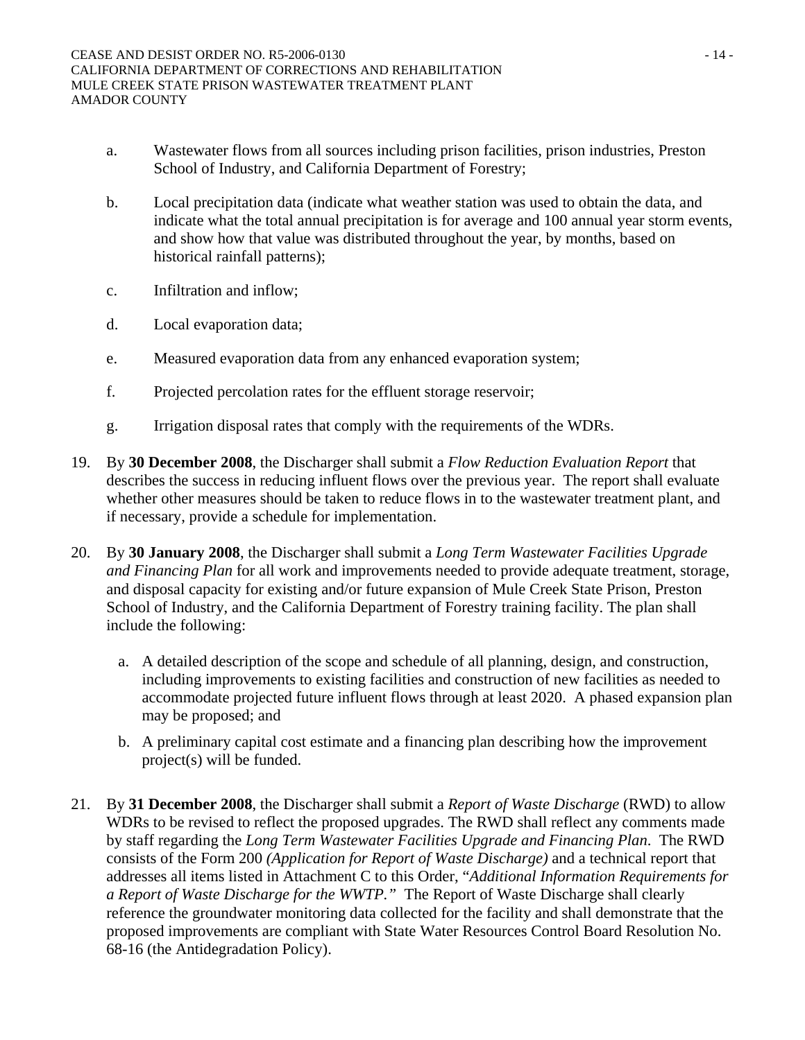- a. Wastewater flows from all sources including prison facilities, prison industries, Preston School of Industry, and California Department of Forestry;
- b. Local precipitation data (indicate what weather station was used to obtain the data, and indicate what the total annual precipitation is for average and 100 annual year storm events, and show how that value was distributed throughout the year, by months, based on historical rainfall patterns);
- c. Infiltration and inflow;
- d. Local evaporation data;
- e. Measured evaporation data from any enhanced evaporation system;
- f. Projected percolation rates for the effluent storage reservoir;
- g. Irrigation disposal rates that comply with the requirements of the WDRs.
- 19. By **30 December 2008**, the Discharger shall submit a *Flow Reduction Evaluation Report* that describes the success in reducing influent flows over the previous year. The report shall evaluate whether other measures should be taken to reduce flows in to the wastewater treatment plant, and if necessary, provide a schedule for implementation.
- 20. By **30 January 2008**, the Discharger shall submit a *Long Term Wastewater Facilities Upgrade and Financing Plan* for all work and improvements needed to provide adequate treatment, storage, and disposal capacity for existing and/or future expansion of Mule Creek State Prison, Preston School of Industry, and the California Department of Forestry training facility. The plan shall include the following:
	- a. A detailed description of the scope and schedule of all planning, design, and construction, including improvements to existing facilities and construction of new facilities as needed to accommodate projected future influent flows through at least 2020. A phased expansion plan may be proposed; and
	- b. A preliminary capital cost estimate and a financing plan describing how the improvement project(s) will be funded.
- 21. By **31 December 2008**, the Discharger shall submit a *Report of Waste Discharge* (RWD) to allow WDRs to be revised to reflect the proposed upgrades. The RWD shall reflect any comments made by staff regarding the *Long Term Wastewater Facilities Upgrade and Financing Plan*. The RWD consists of the Form 200 *(Application for Report of Waste Discharge)* and a technical report that addresses all items listed in Attachment C to this Order, "*Additional Information Requirements for a Report of Waste Discharge for the WWTP."* The Report of Waste Discharge shall clearly reference the groundwater monitoring data collected for the facility and shall demonstrate that the proposed improvements are compliant with State Water Resources Control Board Resolution No. 68-16 (the Antidegradation Policy).